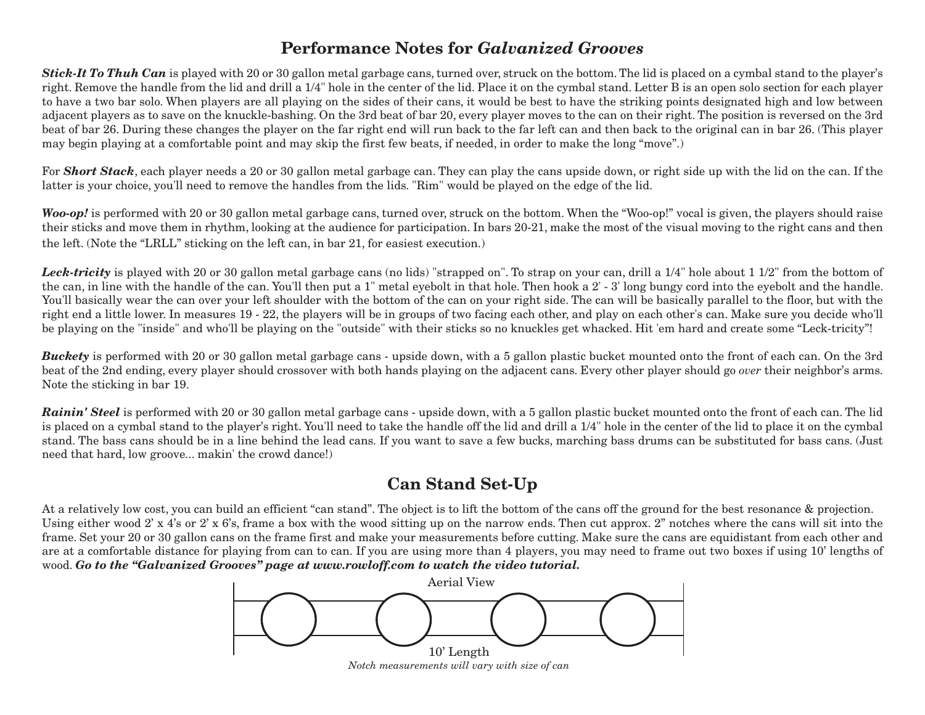## **Performance Notes for** *Galvanized Grooves*

*Stick-It To Thuh Can* is played with 20 or 30 gallon metal garbage cans, turned over, struck on the bottom.The lid is placed on a cymbal stand to the player's right. Remove the handle from the lid and drill a 1/4" hole in the center of the lid. Place it on the cymbal stand. Letter B is an open solo section for each player to have a two bar solo. When players are all playing on the sides of their cans, it would be best to have the striking points designated high and low between adjacent players as to save on the knuckle-bashing. On the 3rd beat of bar 20, every player moves to the can on their right. The position is reversed on the 3rd beat of bar 26. During these changes the player on the far right end will run back to the far left can and then back to the original can in bar 26. (This player may begin playing at a comfortable point and may skip the first few beats, if needed, in order to make the long "move".)

For **Short Stack**, each player needs a 20 or 30 gallon metal garbage can. They can play the cans upside down, or right side up with the lid on the can. If the latter is your choice, you'll need to remove the handles from the lids. "Rim" would be played on the edge of the lid.

*Woo-op!* is performed with 20 or 30 gallon metal garbage cans, turned over, struck on the bottom. When the "Woo-op!" vocal is given, the players should raise their sticks and move them in rhythm, looking at the audience for participation. In bars 20-21, make the most of the visual moving to the right cans and then the left. (Note the "LRLL" sticking on the left can, in bar 21, for easiest execution.)

Leck-tricity is played with 20 or 30 gallon metal garbage cans (no lids) "strapped on". To strap on your can, drill a 1/4" hole about 1 1/2" from the bottom of the can, in line with the handle of the can. You'll then put a 1" metal eyebolt in that hole. Then hook a 2' - 3' long bungy cord into the eyebolt and the handle. You'll basically wear the can over your left shoulder with the bottom of the can on your right side. The can will be basically parallel to the floor, but with the right end a little lower. In measures 19 - 22, the players will be in groups of two facing each other, and play on each other's can. Make sure you decide who'll be playing on the "inside" and who'll be playing on the "outside" with their sticks so no knuckles get whacked. Hit 'em hard and create some "Leck-tricity"!

**Buckety** is performed with 20 or 30 gallon metal garbage cans - upside down, with a 5 gallon plastic bucket mounted onto the front of each can. On the 3rd beat of the 2nd ending, every player should crossover with both hands playing on the adjacent cans. Every other player should go *over* their neighbor's arms. Note the sticking in bar 19.

*Rainin' Steel* is performed with 20 or 30 gallon metal garbage cans - upside down, with a 5 gallon plastic bucket mounted onto the front of each can. The lid is placed on a cymbal stand to the player's right. You'll need to take the handle off the lid and drill a 1/4" hole in the center of the lid to place it on the cymbal stand. The bass cans should be in a line behind the lead cans. If you want to save a few bucks, marching bass drums can be substituted for bass cans. (Just need that hard, low groove... makin' the crowd dance!)

## **Can Stand Set-Up**

At a relatively low cost, you can build an efficient "can stand". The object is to lift the bottom of the cans off the ground for the best resonance & projection. Using either wood  $2' \times 4'$ s or  $2' \times 6'$ s, frame a box with the wood sitting up on the narrow ends. Then cut approx.  $2''$  notches where the cans will sit into the frame. Set your 20 or 30 gallon cans on the frame first and make your measurements before cutting. Make sure the cans are equidistant from each other and are at a comfortable distance for playing from can to can. If you are using more than 4 players, you may need to frame out two boxes if using 10' lengths of wood. *Go to the "Galvanized Grooves" page at www.rowloff.com to watch the video tutorial.*



*Notch measurements will vary with size of can*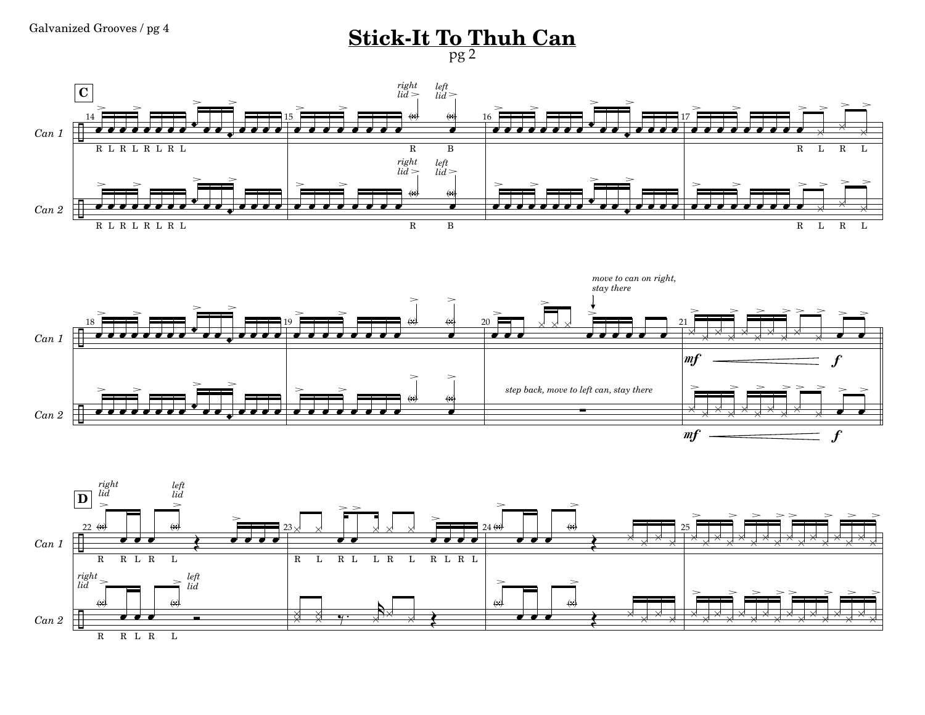**Stick-It To Thuh Can** pg 2





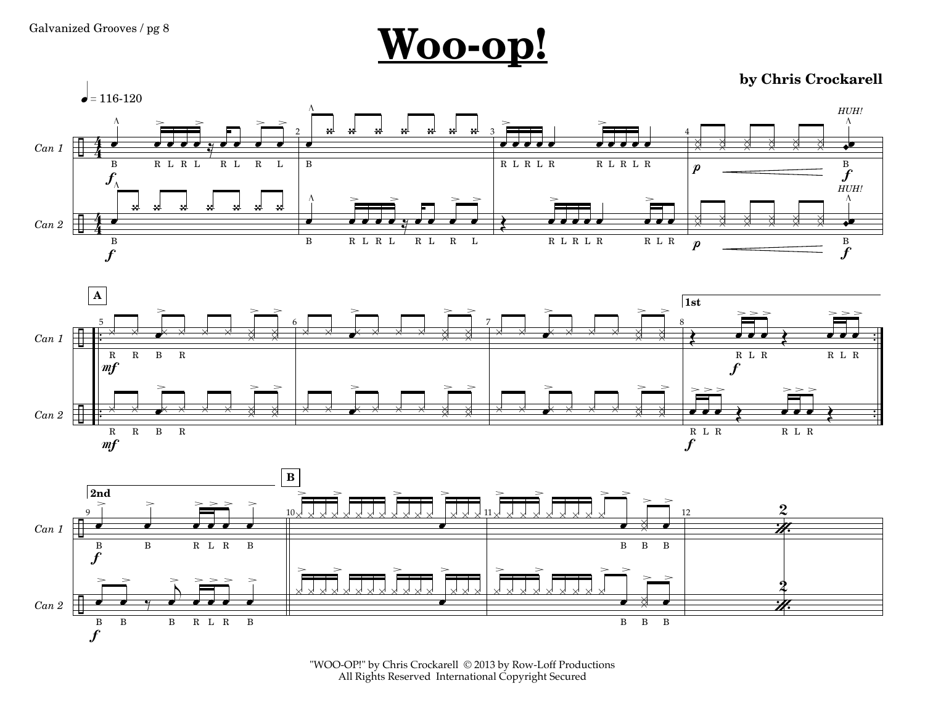

**by Chris Crockarell**







"WOO-OP!" by Chris Crockarell © 2013 by Row-Loff Productions All Rights Reserved International Copyright Secured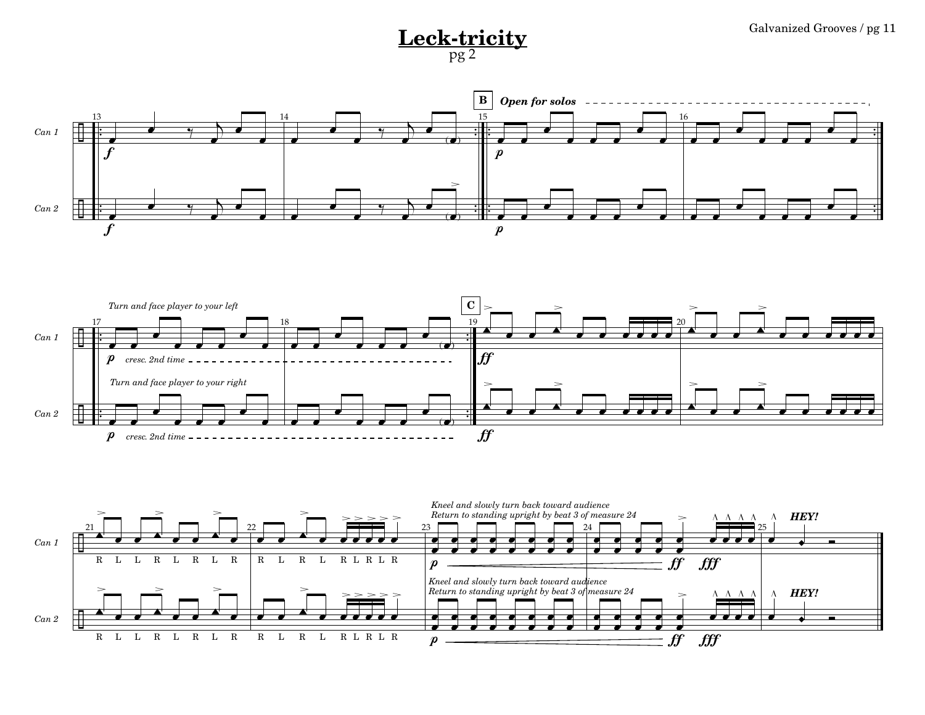## **Leck-tricity**  $\frac{1}{\log 2}$  Galvanized Grooves / pg 11